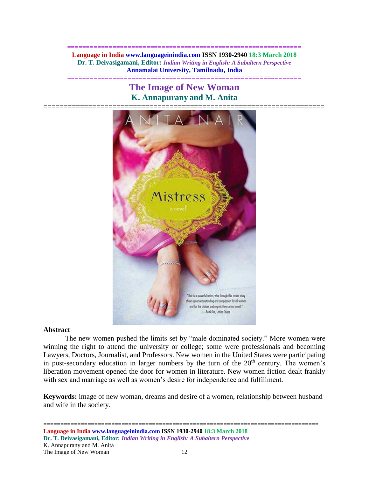**============================================================== Language in India www.languageinindia.com ISSN 1930-2940 18:3 March 2018 Dr. T. Deivasigamani, Editor:** *Indian Writing in English: A Subaltern Perspective* **Annamalai University, Tamilnadu, India**

**==============================================================**

**The Image of New Woman K. Annapurany and M. Anita**



# **Abstract**

The new women pushed the limits set by "male dominated society." More women were winning the right to attend the university or college; some were professionals and becoming Lawyers, Doctors, Journalist, and Professors. New women in the United States were participating in post-secondary education in larger numbers by the turn of the  $20<sup>th</sup>$  century. The women's liberation movement opened the door for women in literature. New women fiction dealt frankly with sex and marriage as well as women's desire for independence and fulfillment.

**Keywords:** image of new woman, dreams and desire of a women, relationship between husband and wife in the society.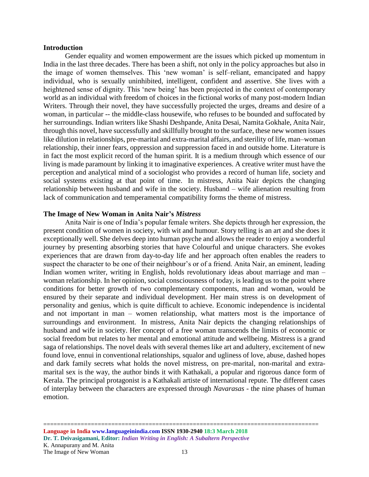#### **Introduction**

Gender equality and women empowerment are the issues which picked up momentum in India in the last three decades. There has been a shift, not only in the policy approaches but also in the image of women themselves. This 'new woman' is self–reliant, emancipated and happy individual, who is sexually uninhibited, intelligent, confident and assertive. She lives with a heightened sense of dignity. This 'new being' has been projected in the context of contemporary world as an individual with freedom of choices in the fictional works of many post-modern Indian Writers. Through their novel, they have successfully projected the urges, dreams and desire of a woman, in particular -- the middle-class housewife, who refuses to be bounded and suffocated by her surroundings. Indian writers like Shashi Deshpande, Anita Desai, Namita Gokhale, Anita Nair, through this novel, have successfully and skillfully brought to the surface, these new women issues like dilution in relationships, pre-marital and extra-marital affairs, and sterility of life, man–woman relationship, their inner fears, oppression and suppression faced in and outside home. Literature is in fact the most explicit record of the human spirit. It is a medium through which essence of our living is made paramount by linking it to imaginative experiences. A creative writer must have the perception and analytical mind of a sociologist who provides a record of human life, society and social systems existing at that point of time. In mistress, Anita Nair depicts the changing relationship between husband and wife in the society. Husband – wife alienation resulting from lack of communication and temperamental compatibility forms the theme of mistress.

## **The Image of New Woman in Anita Nair's** *Mistress*

Anita Nair is one of India's popular female writers. She depicts through her expression, the present condition of women in society, with wit and humour. Story telling is an art and she does it exceptionally well. She delves deep into human psyche and allows the reader to enjoy a wonderful journey by presenting absorbing stories that have Colourful and unique characters. She evokes experiences that are drawn from day-to-day life and her approach often enables the readers to suspect the character to be one of their neighbour's or of a friend. Anita Nair, an eminent, leading Indian women writer, writing in English, holds revolutionary ideas about marriage and man – woman relationship. In her opinion, social consciousness of today, is leading us to the point where conditions for better growth of two complementary components, man and woman, would be ensured by their separate and individual development. Her main stress is on development of personality and genius, which is quite difficult to achieve. Economic independence is incidental and not important in man – women relationship, what matters most is the importance of surroundings and environment. In mistress, Anita Nair depicts the changing relationships of husband and wife in society. Her concept of a free woman transcends the limits of economic or social freedom but relates to her mental and emotional attitude and wellbeing. Mistress is a grand saga of relationships. The novel deals with several themes like art and adultery, excitement of new found love, ennui in conventional relationships, squalor and ugliness of love, abuse, dashed hopes and dark family secrets what holds the novel mistress, on pre-marital, non-marital and extramarital sex is the way, the author binds it with Kathakali, a popular and rigorous dance form of Kerala. The principal protagonist is a Kathakali artiste of international repute. The different cases of interplay between the characters are expressed through *Navarasas* - the nine phases of human emotion.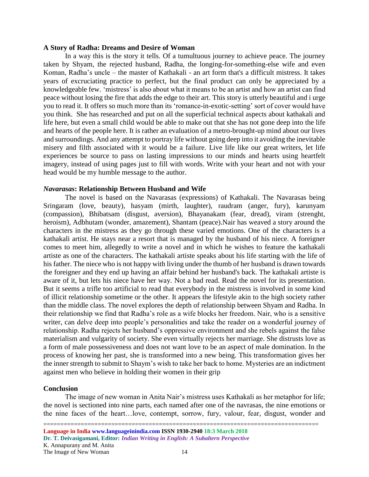### **A Story of Radha: Dreams and Desire of Woman**

In a way this is the story it tells. Of a tumultuous journey to achieve peace. The journey taken by Shyam, the rejected husband, Radha, the longing-for-something-else wife and even Koman, Radha's uncle – the master of Kathakali - an art form that's a difficult mistress. It takes years of excruciating practice to perfect, but the final product can only be appreciated by a knowledgeable few. 'mistress' is also about what it means to be an artist and how an artist can find peace without losing the fire that adds the edge to their art. This story is utterly beautiful and i urge you to read it. It offers so much more than its 'romance-in-exotic-setting' sort of cover would have you think. She has researched and put on all the superficial technical aspects about kathakali and life here, but even a small child would be able to make out that she has not gone deep into the life and hearts of the people here. It is rather an evaluation of a metro-brought-up mind about our lives and surroundings. And any attempt to portray life without going deep into it avoiding the inevitable misery and filth associated with it would be a failure. Live life like our great writers, let life experiences be source to pass on lasting impressions to our minds and hearts using heartfelt imagery, instead of using pages just to fill with words. Write with your heart and not with your head would be my humble message to the author.

## *Navarasas***: Relationship Between Husband and Wife**

The novel is based on the Navarasas (expressions) of Kathakali. The Navarasas being Sringaram (love, beauty), hasyam (mirth, laughter), raudram (anger, fury), karunyam (compassion), Bhibatsam (disgust, aversion), Bhayanakam (fear, dread), viram (strenght, heroism), Adbhutam (wonder, amazement), Shantam (peace).Nair has weaved a story around the characters in the mistress as they go through these varied emotions. One of the characters is a kathakali artist. He stays near a resort that is managed by the husband of his niece. A foreigner comes to meet him, allegedly to write a novel and in which he wishes to feature the kathakali artiste as one of the characters. The kathakali artiste speaks about his life starting with the life of his father. The niece who is not happy with living under the thumb of her husband is drawn towards the foreigner and they end up having an affair behind her husband's back. The kathakali artiste is aware of it, but lets his niece have her way. Not a bad read. Read the novel for its presentation. But it seems a trifle too artificial to read that everybody in the mistress is involved in some kind of illicit relationship sometime or the other. It appears the lifestyle akin to the high society rather than the middle class. The novel explores the depth of relationship between Shyam and Radha. In their relationship we find that Radha's role as a wife blocks her freedom. Nair, who is a sensitive writer, can delve deep into people's personalities and take the reader on a wonderful journey of relationship. Radha rejects her husband's oppressive environment and she rebels against the false materialism and vulgarity of society. She even virtually rejects her marriage. She distrusts love as a form of male possessiveness and does not want love to be an aspect of male domination. In the process of knowing her past, she is transformed into a new being. This transformation gives her the inner strength to submit to Shaym's wish to take her back to home. Mysteries are an indictment against men who believe in holding their women in their grip

# **Conclusion**

The image of new woman in Anita Nair's mistress uses Kathakali as her metaphor for life; the novel is sectioned into nine parts, each named after one of the navrasas, the nine emotions or the nine faces of the heart…love, contempt, sorrow, fury, valour, fear, disgust, wonder and